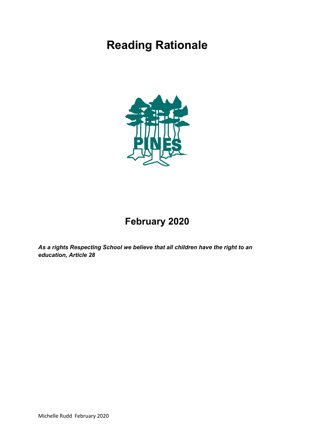# **Reading Rationale**



# **February 2020**

*As a rights Respecting School we believe that all children have the right to an education, Article 28*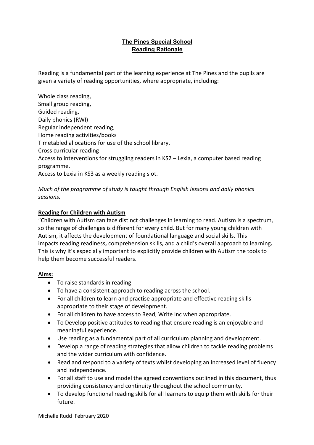# **The Pines Special School Reading Rationale**

Reading is a fundamental part of the learning experience at The Pines and the pupils are given a variety of reading opportunities, where appropriate, including:

Whole class reading, Small group reading, Guided reading, Daily phonics (RWI) Regular independent reading, Home reading activities/books Timetabled allocations for use of the school library. Cross curricular reading Access to interventions for struggling readers in KS2 – Lexia, a computer based reading programme. Access to Lexia in KS3 as a weekly reading slot.

*Much of the programme of study is taught through English lessons and daily phonics sessions.* 

# **Reading for Children with Autism**

"Children with Autism can face distinct challenges in learning to read. Autism is a spectrum, so the range of challenges is different for every child. But for many young children with Autism, it affects the development of foundational language and social skills. This impacts reading readiness**,** comprehension skills**,** and a child's overall approach to learning**.** This is why it's especially important to explicitly provide children with Autism the tools to help them become successful readers.

# **Aims:**

- To raise standards in reading
- To have a consistent approach to reading across the school.
- For all children to learn and practise appropriate and effective reading skills appropriate to their stage of development.
- For all children to have access to Read, Write Inc when appropriate.
- To Develop positive attitudes to reading that ensure reading is an enjoyable and meaningful experience.
- Use reading as a fundamental part of all curriculum planning and development.
- Develop a range of reading strategies that allow children to tackle reading problems and the wider curriculum with confidence.
- Read and respond to a variety of texts whilst developing an increased level of fluency and independence.
- For all staff to use and model the agreed conventions outlined in this document, thus providing consistency and continuity throughout the school community.
- To develop functional reading skills for all learners to equip them with skills for their future.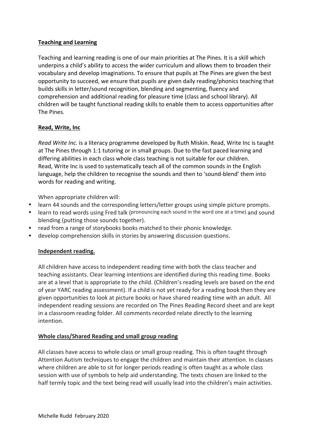# **Teaching and Learning**

Teaching and learning reading is one of our main priorities at The Pines. It is a skill which underpins a child's ability to access the wider curriculum and allows them to broaden their vocabulary and develop imaginations. To ensure that pupils at The Pines are given the best opportunity to succeed, we ensure that pupils are given daily reading/phonics teaching that builds skills in letter/sound recognition, blending and segmenting, fluency and comprehension and additional reading for pleasure time (class and school library). All children will be taught functional reading skills to enable them to access opportunities after The Pines.

#### **Read, Write, Inc**

*Read Write Inc.* is a literacy programme developed by Ruth Miskin. Read, Write Inc is taught at The Pines through 1:1 tutoring or in small groups. Due to the fast paced learning and differing abilities in each class whole class teaching is not suitable for our children. Read, Write Inc is used to systematically teach all of the common sounds in the English language, help the children to recognise the sounds and then to 'sound-blend' them into words for reading and writing.

When appropriate children will:

- learn 44 sounds and the corresponding letters/letter groups using simple picture prompts.
- learn to read words using Fred talk (pronouncing each sound in the word one at a time) and sound blending (putting those sounds together).
- read from a range of storybooks books matched to their phonic knowledge.
- develop comprehension skills in stories by answering discussion questions.

#### **Independent reading.**

All children have access to independent reading time with both the class teacher and teaching assistants. Clear learning intentions are identified during this reading time. Books are at a level that is appropriate to the child. (Children's reading levels are based on the end of year YARC reading assessment). If a child is not yet ready for a reading book then they are given opportunities to look at picture books or have shared reading time with an adult. All independent reading sessions are recorded on The Pines Reading Record sheet and are kept in a classroom reading folder. All comments recorded relate directly to the learning intention.

#### **Whole class/Shared Reading and small group reading**

All classes have access to whole class or small group reading. This is often taught through Attention Autism techniques to engage the children and maintain their attention. In classes where children are able to sit for longer periods reading is often taught as a whole class session with use of symbols to help aid understanding. The texts chosen are linked to the half termly topic and the text being read will usually lead into the children's main activities.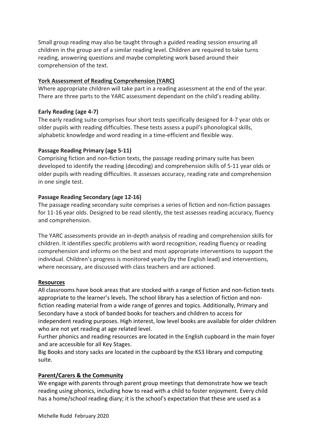Small group reading may also be taught through a guided reading session ensuring all children in the group are of a similar reading level. Children are required to take turns reading, answering questions and maybe completing work based around their comprehension of the text.

#### **York Assessment of Reading Comprehension (YARC)**

Where appropriate children will take part in a reading assessment at the end of the year. There are three parts to the YARC assessment dependant on the child's reading ability.

#### **Early Reading (age 4-7)**

The early reading suite comprises four short tests specifically designed for 4-7 year olds or older pupils with reading difficulties. These tests assess a pupil's phonological skills, alphabetic knowledge and word reading in a time-efficient and flexible way.

#### **Passage Reading Primary (age 5-11)**

Comprising fiction and non-fiction texts, the passage reading primary suite has been developed to identify the reading (decoding) and comprehension skills of 5-11 year olds or older pupils with reading difficulties. It assesses accuracy, reading rate and comprehension in one single test.

#### **Passage Reading Secondary (age 12-16)**

The passage reading secondary suite comprises a series of fiction and non-fiction passages for 11-16 year olds. Designed to be read silently, the test assesses reading accuracy, fluency and comprehension.

The YARC assessments provide an in-depth analysis of reading and comprehension skills for children. It identifies specific problems with word recognition, reading fluency or reading comprehension and informs on the best and most appropriate interventions to support the individual. Children's progress is monitored yearly (by the English lead) and interventions, where necessary, are discussed with class teachers and are actioned.

#### **Resources**

All classrooms have book areas that are stocked with a range of fiction and non-fiction texts appropriate to the learner's levels. The school library has a selection of fiction and nonfiction reading material from a wide range of genres and topics. Additionally, Primary and Secondary have a stock of banded books for teachers and children to access for independent reading purposes. High interest, low level books are available for older children who are not yet reading at age related level.

Further phonics and reading resources are located in the English cupboard in the main foyer and are accessible for all Key Stages.

Big Books and story sacks are located in the cupboard by the KS3 library and computing suite.

# **Parent/Carers & the Community**

We engage with parents through parent group meetings that demonstrate how we teach reading using phonics, including how to read with a child to foster enjoyment. Every child has a home/school reading diary; it is the school's expectation that these are used as a